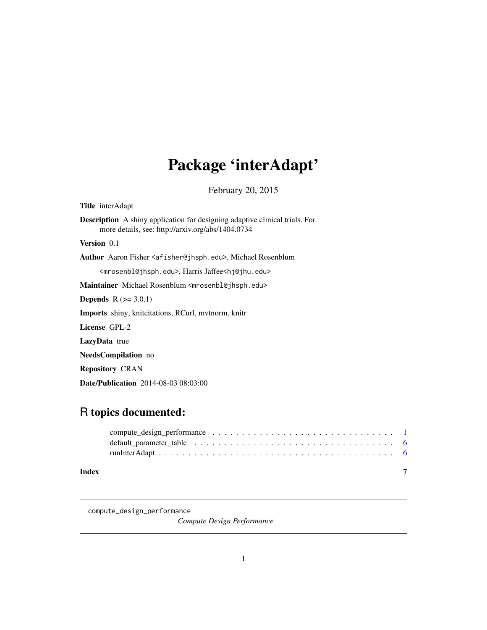## <span id="page-0-0"></span>Package 'interAdapt'

February 20, 2015

<span id="page-0-1"></span>Title interAdapt

Description A shiny application for designing adaptive clinical trials. For more details, see: http://arxiv.org/abs/1404.0734

Version 0.1

Author Aaron Fisher <afisher@jhsph.edu>, Michael Rosenblum

<mrosenbl@jhsph.edu>, Harris Jaffee<hj@jhu.edu>

Maintainer Michael Rosenblum <mrosenbl@jhsph.edu>

**Depends**  $R$  ( $>= 3.0.1$ )

Imports shiny, knitcitations, RCurl, mvtnorm, knitr

License GPL-2

LazyData true

NeedsCompilation no

Repository CRAN

Date/Publication 2014-08-03 08:03:00

### R topics documented:

| Index |  |
|-------|--|

<span id="page-0-2"></span>compute\_design\_performance

*Compute Design Performance*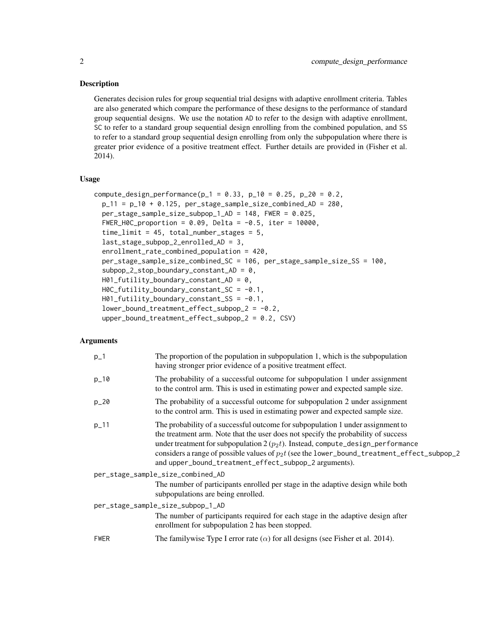#### Description

Generates decision rules for group sequential trial designs with adaptive enrollment criteria. Tables are also generated which compare the performance of these designs to the performance of standard group sequential designs. We use the notation AD to refer to the design with adaptive enrollment, SC to refer to a standard group sequential design enrolling from the combined population, and SS to refer to a standard group sequential design enrolling from only the subpopulation where there is greater prior evidence of a positive treatment effect. Further details are provided in (Fisher et al. 2014).

#### Usage

```
compute_design_performance(p_1 = 0.33, p_10 = 0.25, p_20 = 0.2,
 p_11 = p_10 + 0.125, per\_stage\_sample\_size\_combined\_AD = 280,
 per_stage_sample_size_subpop_1_AD = 148, FWER = 0.025,
  FWER_HOC_proportion = 0.09, Delta = -0.5, iter = 10000,time_limit = 45, total_number_stages = 5,
  last_stage_subpop_2_enrolled_AD = 3,
  enrollment_rate_combined_population = 420,
 per_stage_sample_size_combined_SC = 106, per_stage_sample_size_SS = 100,
  subpop_2\_stop\_boundary_constant_AD = 0,
 H01_futility_boundary_constant_AD = 0,
 HOC_futility_boundary_{const} = -0.1,
 H01_futility_boundary_constant_SS = -0.1,
  lower_bound_treatment_effect_subpop_2 = -0.2,
  upper_bound_treatment_effect_subpop_2 = 0.2, CSV)
```
#### Arguments

| $p_{-}1$    | The proportion of the population in subpopulation 1, which is the subpopulation<br>having stronger prior evidence of a positive treatment effect.                                                                                                                                                                                                                                                                   |
|-------------|---------------------------------------------------------------------------------------------------------------------------------------------------------------------------------------------------------------------------------------------------------------------------------------------------------------------------------------------------------------------------------------------------------------------|
| $p_{10}$    | The probability of a successful outcome for subpopulation 1 under assignment<br>to the control arm. This is used in estimating power and expected sample size.                                                                                                                                                                                                                                                      |
| $p_{20}$    | The probability of a successful outcome for subpopulation 2 under assignment<br>to the control arm. This is used in estimating power and expected sample size.                                                                                                                                                                                                                                                      |
| $p_{-}11$   | The probability of a successful outcome for subpopulation 1 under assignment to<br>the treatment arm. Note that the user does not specify the probability of success<br>under treatment for subpopulation $2(p_2t)$ . Instead, compute_design_performance<br>considers a range of possible values of $p_2t$ (see the lower_bound_treatment_effect_subpop_2<br>and upper_bound_treatment_effect_subpop_2 arguments). |
|             | per_stage_sample_size_combined_AD                                                                                                                                                                                                                                                                                                                                                                                   |
|             | The number of participants enrolled per stage in the adaptive design while both<br>subpopulations are being enrolled.                                                                                                                                                                                                                                                                                               |
|             | per_stage_sample_size_subpop_1_AD                                                                                                                                                                                                                                                                                                                                                                                   |
|             | The number of participants required for each stage in the adaptive design after<br>enrollment for subpopulation 2 has been stopped.                                                                                                                                                                                                                                                                                 |
| <b>FWER</b> | The familywise Type I error rate $(\alpha)$ for all designs (see Fisher et al. 2014).                                                                                                                                                                                                                                                                                                                               |
|             |                                                                                                                                                                                                                                                                                                                                                                                                                     |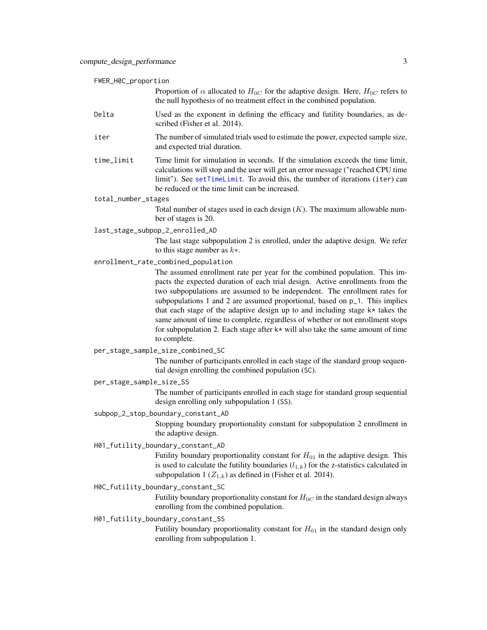<span id="page-2-0"></span>

|  |  | FWER_H0C_proportion |  |
|--|--|---------------------|--|
|--|--|---------------------|--|

Proportion of  $\alpha$  allocated to  $H_{0C}$  for the adaptive design. Here,  $H_{0C}$  refers to the null hypothesis of no treatment effect in the combined population.

- Delta Used as the exponent in defining the efficacy and futility boundaries, as described (Fisher et al. 2014).
- iter The number of simulated trials used to estimate the power, expected sample size, and expected trial duration.
- time\_limit Time limit for simulation in seconds. If the simulation exceeds the time limit, calculations will stop and the user will get an error message ("reached CPU time limit"). See [setTimeLimit](#page-0-1). To avoid this, the number of iterations (iter) can be reduced or the time limit can be increased.

#### total\_number\_stages

Total number of stages used in each design  $(K)$ . The maximum allowable number of stages is 20.

last\_stage\_subpop\_2\_enrolled\_AD

The last stage subpopulation 2 is enrolled, under the adaptive design. We refer to this stage number as  $k*$ .

enrollment\_rate\_combined\_population

The assumed enrollment rate per year for the combined population. This impacts the expected duration of each trial design. Active enrollments from the two subpopulations are assumed to be independent. The enrollment rates for subpopulations 1 and 2 are assumed proportional, based on p\_1. This implies that each stage of the adaptive design up to and including stage k\* takes the same amount of time to complete, regardless of whether or not enrollment stops for subpopulation 2. Each stage after  $k*$  will also take the same amount of time to complete.

#### per\_stage\_sample\_size\_combined\_SC

The number of participants enrolled in each stage of the standard group sequential design enrolling the combined population (SC).

per\_stage\_sample\_size\_SS

The number of participants enrolled in each stage for standard group sequential design enrolling only subpopulation 1 (SS).

#### subpop\_2\_stop\_boundary\_constant\_AD

Stopping boundary proportionality constant for subpopulation 2 enrollment in the adaptive design.

#### H01\_futility\_boundary\_constant\_AD

Futility boundary proportionality constant for  $H_{01}$  in the adaptive design. This is used to calculate the futility boundaries  $(l_{1,k})$  for the z-statistics calculated in subpopulation 1 ( $Z_{1,k}$ ) as defined in (Fisher et al. 2014).

#### H0C\_futility\_boundary\_constant\_SC

Futility boundary proportionality constant for  $H_{0C}$  in the standard design always enrolling from the combined population.

#### H01\_futility\_boundary\_constant\_SS

Futility boundary proportionality constant for  $H_{01}$  in the standard design only enrolling from subpopulation 1.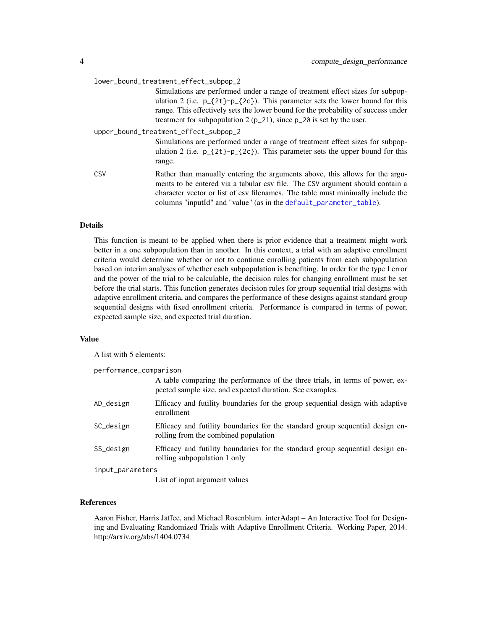<span id="page-3-0"></span>

| lower_bound_treatment_effect_subpop_2 |                                                                                                                                                                                                                                                                                                                                             |  |
|---------------------------------------|---------------------------------------------------------------------------------------------------------------------------------------------------------------------------------------------------------------------------------------------------------------------------------------------------------------------------------------------|--|
|                                       | Simulations are performed under a range of treatment effect sizes for subpop-<br>ulation 2 (i.e. $p_{2}(2t)-p_{2}(2c)$ ). This parameter sets the lower bound for this<br>range. This effectively sets the lower bound for the probability of success under<br>treatment for subpopulation $2 (p_2 1)$ , since $p_2 20$ is set by the user. |  |
| upper_bound_treatment_effect_subpop_2 |                                                                                                                                                                                                                                                                                                                                             |  |
|                                       | Simulations are performed under a range of treatment effect sizes for subpop-<br>ulation 2 (i.e. $p_{2}(2t)-p_{2}(2c)$ ). This parameter sets the upper bound for this<br>range.                                                                                                                                                            |  |
| CSV                                   | Rather than manually entering the arguments above, this allows for the argu-<br>ments to be entered via a tabular csv file. The CSV argument should contain a<br>character vector or list of csy filenames. The table must minimally include the<br>columns "inputId" and "value" (as in the default_parameter_table).                      |  |

#### Details

This function is meant to be applied when there is prior evidence that a treatment might work better in a one subpopulation than in another. In this context, a trial with an adaptive enrollment criteria would determine whether or not to continue enrolling patients from each subpopulation based on interim analyses of whether each subpopulation is benefiting. In order for the type I error and the power of the trial to be calculable, the decision rules for changing enrollment must be set before the trial starts. This function generates decision rules for group sequential trial designs with adaptive enrollment criteria, and compares the performance of these designs against standard group sequential designs with fixed enrollment criteria. Performance is compared in terms of power, expected sample size, and expected trial duration.

#### Value

A list with 5 elements:

performance\_comparison

|                  | A table comparing the performance of the three trials, in terms of power, ex-<br>pected sample size, and expected duration. See examples. |
|------------------|-------------------------------------------------------------------------------------------------------------------------------------------|
| AD_design        | Efficacy and futility boundaries for the group sequential design with adaptive<br>enrollment                                              |
| SC_design        | Efficacy and futility boundaries for the standard group sequential design en-<br>rolling from the combined population                     |
| SS_design        | Efficacy and futility boundaries for the standard group sequential design en-<br>rolling subpopulation 1 only                             |
| input_parameters |                                                                                                                                           |

List of input argument values

#### References

Aaron Fisher, Harris Jaffee, and Michael Rosenblum. interAdapt – An Interactive Tool for Designing and Evaluating Randomized Trials with Adaptive Enrollment Criteria. Working Paper, 2014. http://arxiv.org/abs/1404.0734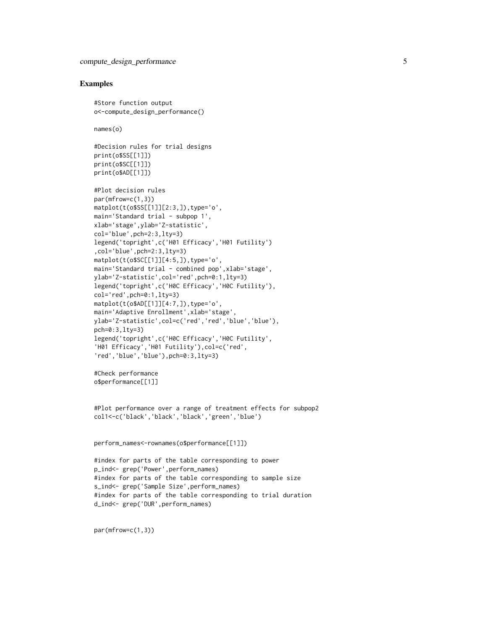#### Examples

#Store function output o<-compute\_design\_performance()

names(o)

```
#Decision rules for trial designs
print(o$SS[[1]])
print(o$SC[[1]])
print(o$AD[[1]])
```

```
#Plot decision rules
par(mfrow=c(1,3))matplot(t(o$SS[[1]][2:3,]),type='o',
main='Standard trial - subpop 1',
xlab='stage',ylab='Z-statistic',
col='blue',pch=2:3,lty=3)
legend('topright',c('H01 Efficacy','H01 Futility')
,col='blue',pch=2:3,lty=3)
matplot(t(o$SC[[1]][4:5,]),type='o',
main='Standard trial - combined pop',xlab='stage',
ylab='Z-statistic',col='red',pch=0:1,lty=3)
legend('topright',c('H0C Efficacy','H0C Futility'),
col='red',pch=0:1,lty=3)
matplot(t(o$AD[[1]][4:7,]),type='o',
main='Adaptive Enrollment',xlab='stage',
ylab='Z-statistic',col=c('red','red','blue','blue'),
pch=0:3,lty=3)
legend('topright',c('H0C Efficacy','H0C Futility',
'H01 Efficacy','H01 Futility'),col=c('red',
'red','blue','blue'),pch=0:3,lty=3)
```
#Check performance o\$performance[[1]]

```
#Plot performance over a range of treatment effects for subpop2
col1<-c('black','black','black','green','blue')
```
perform\_names<-rownames(o\$performance[[1]])

#index for parts of the table corresponding to power p\_ind<- grep('Power',perform\_names) #index for parts of the table corresponding to sample size s\_ind<- grep('Sample Size',perform\_names) #index for parts of the table corresponding to trial duration d\_ind<- grep('DUR',perform\_names)

par(mfrow=c(1,3))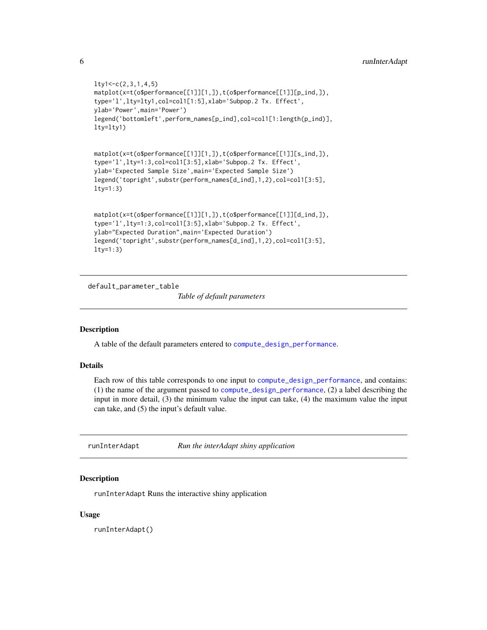```
lty1<-c(2,3,1,4,5)
matplot(x=t(o$performance[[1]][1,]),t(o$performance[[1]][p_ind,]),
type='l',lty=lty1,col=col1[1:5],xlab='Subpop.2 Tx. Effect',
ylab='Power',main='Power')
legend('bottomleft',perform_names[p_ind],col=col1[1:length(p_ind)],
lty=lty1)
matplot(x=t(o$performance[[1]][1,]),t(o$performance[[1]][s_ind,]),
type='l',lty=1:3,col=col1[3:5],xlab='Subpop.2 Tx. Effect',
ylab='Expected Sample Size',main='Expected Sample Size')
legend('topright',substr(perform_names[d_ind],1,2),col=col1[3:5],
lty=1:3)
matplot(x=t(o$performance[[1]][1,]),t(o$performance[[1]][d_ind,]),
type='l',lty=1:3,col=col1[3:5],xlab='Subpop.2 Tx. Effect',
ylab="Expected Duration",main='Expected Duration')
legend('topright',substr(perform_names[d_ind],1,2),col=col1[3:5],
lty=1:3)
```
<span id="page-5-1"></span>default\_parameter\_table

*Table of default parameters*

#### Description

A table of the default parameters entered to [compute\\_design\\_performance](#page-0-2).

#### Details

Each row of this table corresponds to one input to [compute\\_design\\_performance](#page-0-2), and contains: (1) the name of the argument passed to [compute\\_design\\_performance](#page-0-2), (2) a label describing the input in more detail, (3) the minimum value the input can take, (4) the maximum value the input can take, and (5) the input's default value.

runInterAdapt *Run the interAdapt shiny application*

#### Description

runInterAdapt Runs the interactive shiny application

#### Usage

runInterAdapt()

<span id="page-5-0"></span>